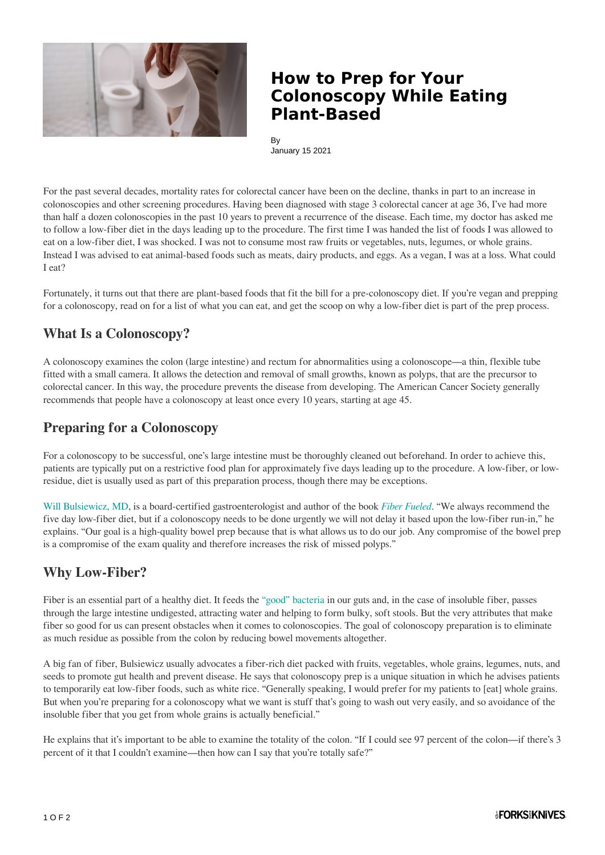

## **How to Prep for Your Colonoscopy While Eating Plant-Based**

By January 15 2021

For the past several decades, mortality rates for colorectal cancer have been on the decline, thanks in part to an increase in colonoscopies and other screening procedures. Having been diagnosed with stage 3 colorectal cancer at age 36, I've had more than half a dozen colonoscopies in the past 10 years to prevent a recurrence of the disease. Each time, my doctor has asked me to follow a low-fiber diet in the days leading up to the procedure. The first time I was handed the list of foods I was allowed to eat on a low-fiber diet, I was shocked. I was not to consume most raw fruits or vegetables, nuts, legumes, or whole grains. Instead I was advised to eat animal-based foods such as meats, dairy products, and eggs. As a vegan, I was at a loss. What could I eat?

Fortunately, it turns out that there are plant-based foods that fit the bill for a pre-colonoscopy diet. If you're vegan and prepping for a colonoscopy, read on for a list of what you can eat, and get the scoop on why a low-fiber diet is part of the prep process.

### **What Is a Colonoscopy?**

A colonoscopy examines the colon (large intestine) and rectum for abnormalities using a colonoscope—a thin, flexible tube fitted with a small camera. It allows the detection and removal of small growths, known as polyps, that are the precursor to colorectal cancer. In this way, the procedure prevents the disease from developing. The American Cancer Society generally recommends that people have a colonoscopy at least once every 10 years, starting at age 45.

### **Preparing for a Colonoscopy**

For a colonoscopy to be successful, one's large intestine must be thoroughly cleaned out beforehand. In order to achieve this, patients are typically put on a restrictive food plan for approximately five days leading up to the procedure. A low-fiber, or lowresidue, diet is usually used as part of this preparation process, though there may be exceptions.

[Will Bulsiewicz, MD](https://www.forksoverknives.com/contributors/will-bulsiewicz-md/), is a board-certified gastroenterologist and author of the book *[Fiber Fueled](https://theplantfedgut.com/book/)*. "We always recommend the five day low-fiber diet, but if a colonoscopy needs to be done urgently we will not delay it based upon the low-fiber run-in," he explains. "Our goal is a high-quality bowel prep because that is what allows us to do our job. Any compromise of the bowel prep is a compromise of the exam quality and therefore increases the risk of missed polyps."

### **Why Low-Fiber?**

Fiber is an essential part of a healthy diet. It feeds the ["good" bacteria](https://www.forksoverknives.com/wellness/why-feeding-your-gut-bacteria-might-be-the-secret-to-better-health-2/) in our guts and, in the case of insoluble fiber, passes through the large intestine undigested, attracting water and helping to form bulky, soft stools. But the very attributes that make fiber so good for us can present obstacles when it comes to colonoscopies. The goal of colonoscopy preparation is to eliminate as much residue as possible from the colon by reducing bowel movements altogether.

A big fan of fiber, Bulsiewicz usually advocates a fiber-rich diet packed with fruits, vegetables, whole grains, legumes, nuts, and seeds to promote gut health and prevent disease. He says that colonoscopy prep is a unique situation in which he advises patients to temporarily eat low-fiber foods, such as white rice. "Generally speaking, I would prefer for my patients to [eat] whole grains. But when you're preparing for a colonoscopy what we want is stuff that's going to wash out very easily, and so avoidance of the insoluble fiber that you get from whole grains is actually beneficial."

He explains that it's important to be able to examine the totality of the colon. "If I could see 97 percent of the colon—if there's 3 percent of it that I couldn't examine—then how can I say that you're totally safe?"